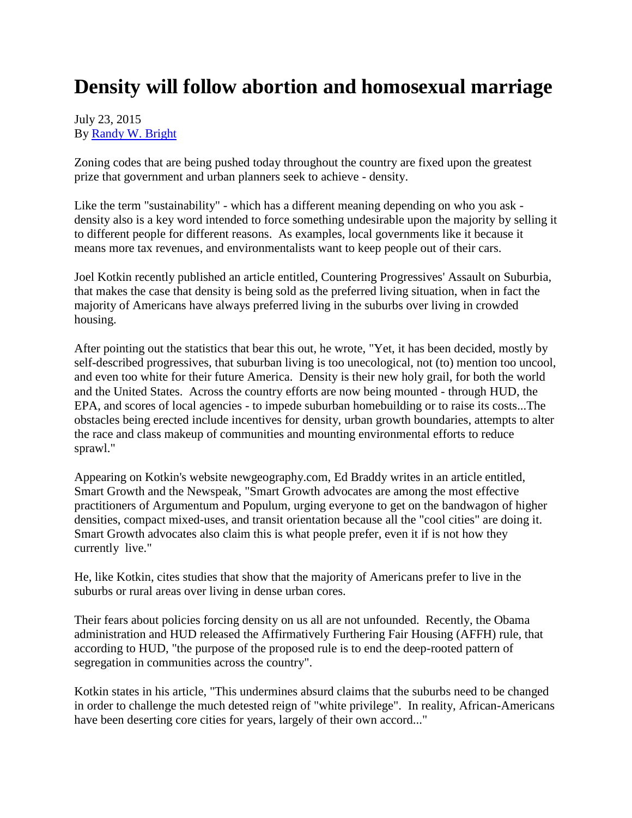## **Density will follow abortion and homosexual marriage**

## July 23, 2015 By [Randy W. Bright](http://www.tulsabeacon.com/author/slug-o6yd1v)

Zoning codes that are being pushed today throughout the country are fixed upon the greatest prize that government and urban planners seek to achieve - density.

Like the term "sustainability" - which has a different meaning depending on who you ask density also is a key word intended to force something undesirable upon the majority by selling it to different people for different reasons. As examples, local governments like it because it means more tax revenues, and environmentalists want to keep people out of their cars.

Joel Kotkin recently published an article entitled, Countering Progressives' Assault on Suburbia, that makes the case that density is being sold as the preferred living situation, when in fact the majority of Americans have always preferred living in the suburbs over living in crowded housing.

After pointing out the statistics that bear this out, he wrote, "Yet, it has been decided, mostly by self-described progressives, that suburban living is too unecological, not (to) mention too uncool, and even too white for their future America. Density is their new holy grail, for both the world and the United States. Across the country efforts are now being mounted - through HUD, the EPA, and scores of local agencies - to impede suburban homebuilding or to raise its costs...The obstacles being erected include incentives for density, urban growth boundaries, attempts to alter the race and class makeup of communities and mounting environmental efforts to reduce sprawl."

Appearing on Kotkin's website newgeography.com, Ed Braddy writes in an article entitled, Smart Growth and the Newspeak, "Smart Growth advocates are among the most effective practitioners of Argumentum and Populum, urging everyone to get on the bandwagon of higher densities, compact mixed-uses, and transit orientation because all the "cool cities" are doing it. Smart Growth advocates also claim this is what people prefer, even it if is not how they currently live."

He, like Kotkin, cites studies that show that the majority of Americans prefer to live in the suburbs or rural areas over living in dense urban cores.

Their fears about policies forcing density on us all are not unfounded. Recently, the Obama administration and HUD released the Affirmatively Furthering Fair Housing (AFFH) rule, that according to HUD, "the purpose of the proposed rule is to end the deep-rooted pattern of segregation in communities across the country".

Kotkin states in his article, "This undermines absurd claims that the suburbs need to be changed in order to challenge the much detested reign of "white privilege". In reality, African-Americans have been deserting core cities for years, largely of their own accord..."